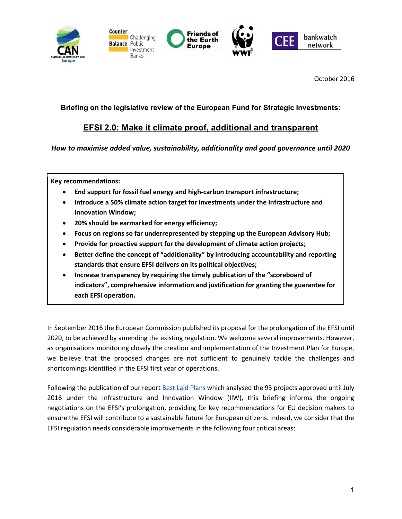

October 2016

## Briefing on the legislative review of the European Fund for Strategic Investments:

# EFSI 2.0: Make it climate proof, additional and transparent

How to maximise added value, sustainability, additionality and good governance until 2020

Key recommendations:

- End support for fossil fuel energy and high-carbon transport infrastructure;
- Introduce a 50% climate action target for investments under the Infrastructure and Innovation Window;
- 20% should be earmarked for energy efficiency;
- Focus on regions so far underrepresented by stepping up the European Advisory Hub;
- Provide for proactive support for the development of climate action projects;
- Better define the concept of "additionality" by introducing accountability and reporting standards that ensure EFSI delivers on its political objectives;
- Increase transparency by requiring the timely publication of the "scoreboard of indicators", comprehensive information and justification for granting the guarantee for each EFSI operation.

In September 2016 the European Commission published its proposal for the prolongation of the EFSI until 2020, to be achieved by amending the existing regulation. We welcome several improvements. However, as organisations monitoring closely the creation and implementation of the Investment Plan for Europe, we believe that the proposed changes are not sufficient to genuinely tackle the challenges and shortcomings identified in the EFSI first year of operations.

Following the publication of our report Best Laid Plans which analysed the 93 projects approved until July 2016 under the Infrastructure and Innovation Window (IIW), this briefing informs the ongoing negotiations on the EFSI's prolongation, providing for key recommendations for EU decision makers to ensure the EFSI will contribute to a sustainable future for European citizens. Indeed, we consider that the EFSI regulation needs considerable improvements in the following four critical areas: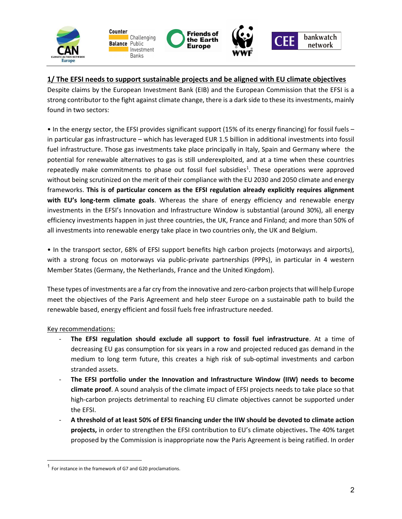

## 1/ The EFSI needs to support sustainable projects and be aligned with EU climate objectives

Despite claims by the European Investment Bank (EIB) and the European Commission that the EFSI is a strong contributor to the fight against climate change, there is a dark side to these its investments, mainly found in two sectors:

• In the energy sector, the EFSI provides significant support (15% of its energy financing) for fossil fuels – in particular gas infrastructure – which has leveraged EUR 1.5 billion in additional investments into fossil fuel infrastructure. Those gas investments take place principally in Italy, Spain and Germany where the potential for renewable alternatives to gas is still underexploited, and at a time when these countries repeatedly make commitments to phase out fossil fuel subsidies<sup>1</sup>. These operations were approved without being scrutinized on the merit of their compliance with the EU 2030 and 2050 climate and energy frameworks. This is of particular concern as the EFSI regulation already explicitly requires alignment with EU's long-term climate goals. Whereas the share of energy efficiency and renewable energy investments in the EFSI's Innovation and Infrastructure Window is substantial (around 30%), all energy efficiency investments happen in just three countries, the UK, France and Finland; and more than 50% of all investments into renewable energy take place in two countries only, the UK and Belgium.

• In the transport sector, 68% of EFSI support benefits high carbon projects (motorways and airports), with a strong focus on motorways via public-private partnerships (PPPs), in particular in 4 western Member States (Germany, the Netherlands, France and the United Kingdom).

These types of investments are a far cry from the innovative and zero-carbon projects that will help Europe meet the objectives of the Paris Agreement and help steer Europe on a sustainable path to build the renewable based, energy efficient and fossil fuels free infrastructure needed.

### Key recommendations:

 $\overline{a}$ 

- The EFSI regulation should exclude all support to fossil fuel infrastructure. At a time of decreasing EU gas consumption for six years in a row and projected reduced gas demand in the medium to long term future, this creates a high risk of sub-optimal investments and carbon stranded assets.
- The EFSI portfolio under the Innovation and Infrastructure Window (IIW) needs to become climate proof. A sound analysis of the climate impact of EFSI projects needs to take place so that high-carbon projects detrimental to reaching EU climate objectives cannot be supported under the EFSI.
- A threshold of at least 50% of EFSI financing under the IIW should be devoted to climate action projects, in order to strengthen the EFSI contribution to EU's climate objectives. The 40% target proposed by the Commission is inappropriate now the Paris Agreement is being ratified. In order

<sup>&</sup>lt;sup>1</sup> For instance in the framework of G7 and G20 proclamations.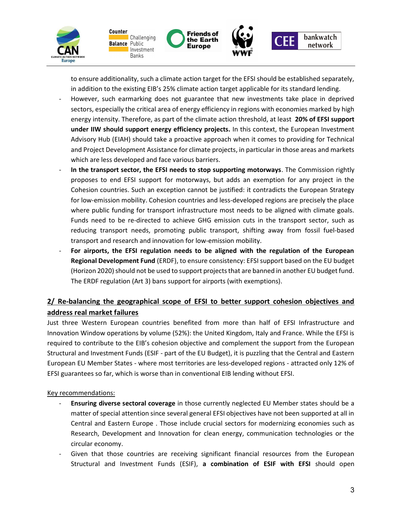

to ensure additionality, such a climate action target for the EFSI should be established separately, in addition to the existing EIB's 25% climate action target applicable for its standard lending.

- However, such earmarking does not guarantee that new investments take place in deprived sectors, especially the critical area of energy efficiency in regions with economies marked by high energy intensity. Therefore, as part of the climate action threshold, at least 20% of EFSI support under IIW should support energy efficiency projects. In this context, the European Investment Advisory Hub (EIAH) should take a proactive approach when it comes to providing for Technical and Project Development Assistance for climate projects, in particular in those areas and markets which are less developed and face various barriers.
- In the transport sector, the EFSI needs to stop supporting motorways. The Commission rightly proposes to end EFSI support for motorways, but adds an exemption for any project in the Cohesion countries. Such an exception cannot be justified: it contradicts the European Strategy for low-emission mobility. Cohesion countries and less-developed regions are precisely the place where public funding for transport infrastructure most needs to be aligned with climate goals. Funds need to be re-directed to achieve GHG emission cuts in the transport sector, such as reducing transport needs, promoting public transport, shifting away from fossil fuel-based transport and research and innovation for low-emission mobility.
- For airports, the EFSI regulation needs to be aligned with the regulation of the European Regional Development Fund (ERDF), to ensure consistency: EFSI support based on the EU budget (Horizon 2020) should not be used to support projects that are banned in another EU budget fund. The ERDF regulation (Art 3) bans support for airports (with exemptions).

# 2/ Re-balancing the geographical scope of EFSI to better support cohesion objectives and address real market failures

Just three Western European countries benefited from more than half of EFSI Infrastructure and Innovation Window operations by volume (52%): the United Kingdom, Italy and France. While the EFSI is required to contribute to the EIB's cohesion objective and complement the support from the European Structural and Investment Funds (ESIF - part of the EU Budget), it is puzzling that the Central and Eastern European EU Member States - where most territories are less-developed regions - attracted only 12% of EFSI guarantees so far, which is worse than in conventional EIB lending without EFSI.

### Key recommendations:

- Ensuring diverse sectoral coverage in those currently neglected EU Member states should be a matter of special attention since several general EFSI objectives have not been supported at all in Central and Eastern Europe . Those include crucial sectors for modernizing economies such as Research, Development and Innovation for clean energy, communication technologies or the circular economy.
- Given that those countries are receiving significant financial resources from the European Structural and Investment Funds (ESIF), a combination of ESIF with EFSI should open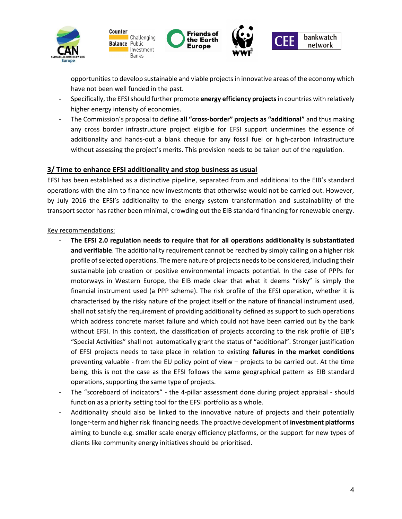

opportunities to develop sustainable and viable projects in innovative areas of the economy which have not been well funded in the past.

- Specifically, the EFSI should further promote energy efficiency projects in countries with relatively higher energy intensity of economies.
- The Commission's proposal to define all "cross-border" projects as "additional" and thus making any cross border infrastructure project eligible for EFSI support undermines the essence of additionality and hands-out a blank cheque for any fossil fuel or high-carbon infrastructure without assessing the project's merits. This provision needs to be taken out of the regulation.

### 3/ Time to enhance EFSI additionality and stop business as usual

EFSI has been established as a distinctive pipeline, separated from and additional to the EIB's standard operations with the aim to finance new investments that otherwise would not be carried out. However, by July 2016 the EFSI's additionality to the energy system transformation and sustainability of the transport sector has rather been minimal, crowding out the EIB standard financing for renewable energy.

#### Key recommendations:

- The EFSI 2.0 regulation needs to require that for all operations additionality is substantiated and verifiable. The additionality requirement cannot be reached by simply calling on a higher risk profile of selected operations. The mere nature of projects needs to be considered, including their sustainable job creation or positive environmental impacts potential. In the case of PPPs for motorways in Western Europe, the EIB made clear that what it deems "risky" is simply the financial instrument used (a PPP scheme). The risk profile of the EFSI operation, whether it is characterised by the risky nature of the project itself or the nature of financial instrument used, shall not satisfy the requirement of providing additionality defined as support to such operations which address concrete market failure and which could not have been carried out by the bank without EFSI. In this context, the classification of projects according to the risk profile of EIB's "Special Activities" shall not automatically grant the status of "additional". Stronger justification of EFSI projects needs to take place in relation to existing failures in the market conditions preventing valuable - from the EU policy point of view – projects to be carried out. At the time being, this is not the case as the EFSI follows the same geographical pattern as EIB standard operations, supporting the same type of projects.
- The "scoreboard of indicators" the 4-pillar assessment done during project appraisal should function as a priority setting tool for the EFSI portfolio as a whole.
- Additionality should also be linked to the innovative nature of projects and their potentially longer-term and higher risk financing needs. The proactive development of investment platforms aiming to bundle e.g. smaller scale energy efficiency platforms, or the support for new types of clients like community energy initiatives should be prioritised.